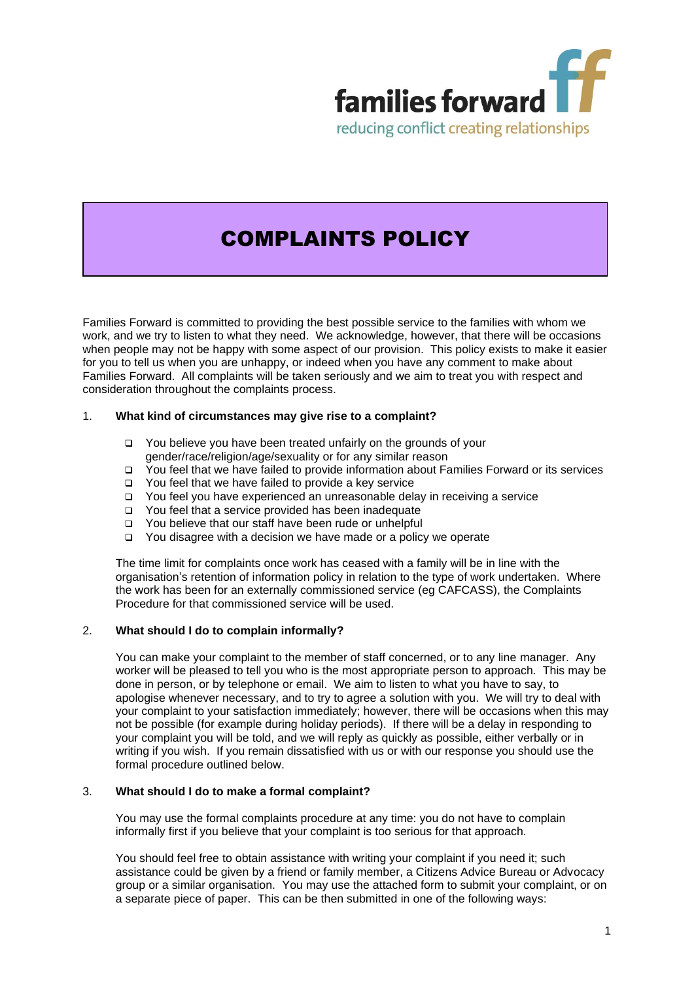

# COMPLAINTS POLICY

Families Forward is committed to providing the best possible service to the families with whom we work, and we try to listen to what they need. We acknowledge, however, that there will be occasions when people may not be happy with some aspect of our provision. This policy exists to make it easier for you to tell us when you are unhappy, or indeed when you have any comment to make about Families Forward. All complaints will be taken seriously and we aim to treat you with respect and consideration throughout the complaints process.

# 1. **What kind of circumstances may give rise to a complaint?**

- ❑ You believe you have been treated unfairly on the grounds of your gender/race/religion/age/sexuality or for any similar reason
- ❑ You feel that we have failed to provide information about Families Forward or its services
- ❑ You feel that we have failed to provide a key service
- ❑ You feel you have experienced an unreasonable delay in receiving a service
- ❑ You feel that a service provided has been inadequate
- ❑ You believe that our staff have been rude or unhelpful
- ❑ You disagree with a decision we have made or a policy we operate

The time limit for complaints once work has ceased with a family will be in line with the organisation's retention of information policy in relation to the type of work undertaken. Where the work has been for an externally commissioned service (eg CAFCASS), the Complaints Procedure for that commissioned service will be used.

# 2. **What should I do to complain informally?**

You can make your complaint to the member of staff concerned, or to any line manager. Any worker will be pleased to tell you who is the most appropriate person to approach. This may be done in person, or by telephone or email. We aim to listen to what you have to say, to apologise whenever necessary, and to try to agree a solution with you. We will try to deal with your complaint to your satisfaction immediately; however, there will be occasions when this may not be possible (for example during holiday periods). If there will be a delay in responding to your complaint you will be told, and we will reply as quickly as possible, either verbally or in writing if you wish. If you remain dissatisfied with us or with our response you should use the formal procedure outlined below.

# 3. **What should I do to make a formal complaint?**

You may use the formal complaints procedure at any time: you do not have to complain informally first if you believe that your complaint is too serious for that approach.

You should feel free to obtain assistance with writing your complaint if you need it; such assistance could be given by a friend or family member, a Citizens Advice Bureau or Advocacy group or a similar organisation. You may use the attached form to submit your complaint, or on a separate piece of paper. This can be then submitted in one of the following ways: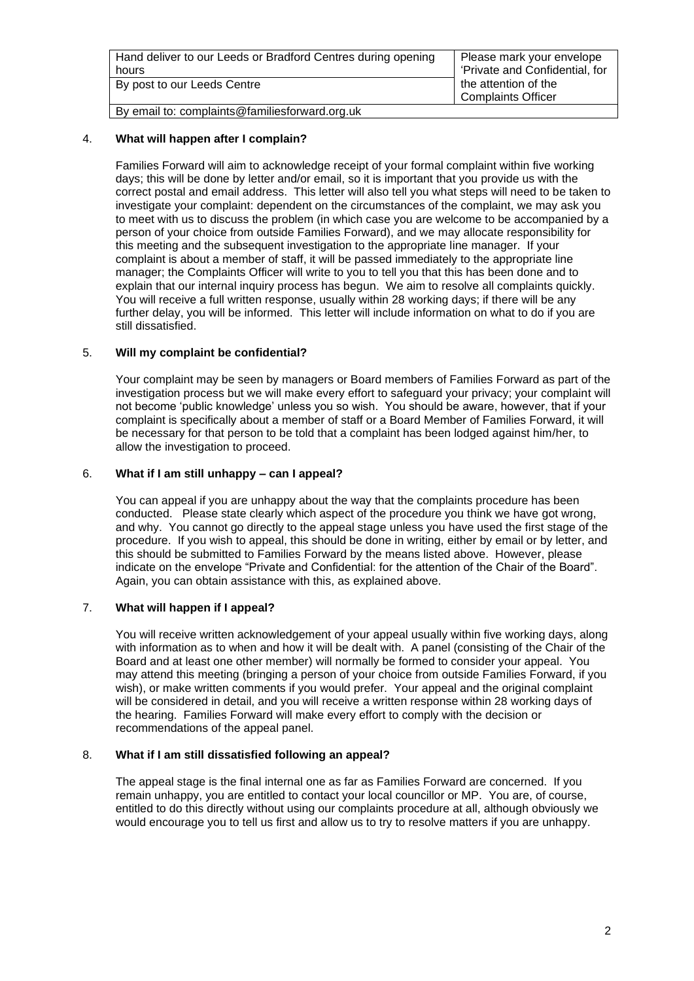| Hand deliver to our Leeds or Bradford Centres during opening | Please mark your envelope      |
|--------------------------------------------------------------|--------------------------------|
| hours                                                        | 'Private and Confidential, for |
| By post to our Leeds Centre                                  | the attention of the           |
|                                                              | <b>Complaints Officer</b>      |
| By email to: complaints@familiesforward.org.uk               |                                |

## 4. **What will happen after I complain?**

Families Forward will aim to acknowledge receipt of your formal complaint within five working days; this will be done by letter and/or email, so it is important that you provide us with the correct postal and email address. This letter will also tell you what steps will need to be taken to investigate your complaint: dependent on the circumstances of the complaint, we may ask you to meet with us to discuss the problem (in which case you are welcome to be accompanied by a person of your choice from outside Families Forward), and we may allocate responsibility for this meeting and the subsequent investigation to the appropriate line manager. If your complaint is about a member of staff, it will be passed immediately to the appropriate line manager; the Complaints Officer will write to you to tell you that this has been done and to explain that our internal inquiry process has begun. We aim to resolve all complaints quickly. You will receive a full written response, usually within 28 working days; if there will be any further delay, you will be informed. This letter will include information on what to do if you are still dissatisfied.

### 5. **Will my complaint be confidential?**

Your complaint may be seen by managers or Board members of Families Forward as part of the investigation process but we will make every effort to safeguard your privacy; your complaint will not become 'public knowledge' unless you so wish. You should be aware, however, that if your complaint is specifically about a member of staff or a Board Member of Families Forward, it will be necessary for that person to be told that a complaint has been lodged against him/her, to allow the investigation to proceed.

#### 6. **What if I am still unhappy – can I appeal?**

You can appeal if you are unhappy about the way that the complaints procedure has been conducted. Please state clearly which aspect of the procedure you think we have got wrong, and why. You cannot go directly to the appeal stage unless you have used the first stage of the procedure. If you wish to appeal, this should be done in writing, either by email or by letter, and this should be submitted to Families Forward by the means listed above. However, please indicate on the envelope "Private and Confidential: for the attention of the Chair of the Board". Again, you can obtain assistance with this, as explained above.

# 7. **What will happen if I appeal?**

You will receive written acknowledgement of your appeal usually within five working days, along with information as to when and how it will be dealt with. A panel (consisting of the Chair of the Board and at least one other member) will normally be formed to consider your appeal. You may attend this meeting (bringing a person of your choice from outside Families Forward, if you wish), or make written comments if you would prefer. Your appeal and the original complaint will be considered in detail, and you will receive a written response within 28 working days of the hearing. Families Forward will make every effort to comply with the decision or recommendations of the appeal panel.

#### 8. **What if I am still dissatisfied following an appeal?**

The appeal stage is the final internal one as far as Families Forward are concerned. If you remain unhappy, you are entitled to contact your local councillor or MP. You are, of course, entitled to do this directly without using our complaints procedure at all, although obviously we would encourage you to tell us first and allow us to try to resolve matters if you are unhappy.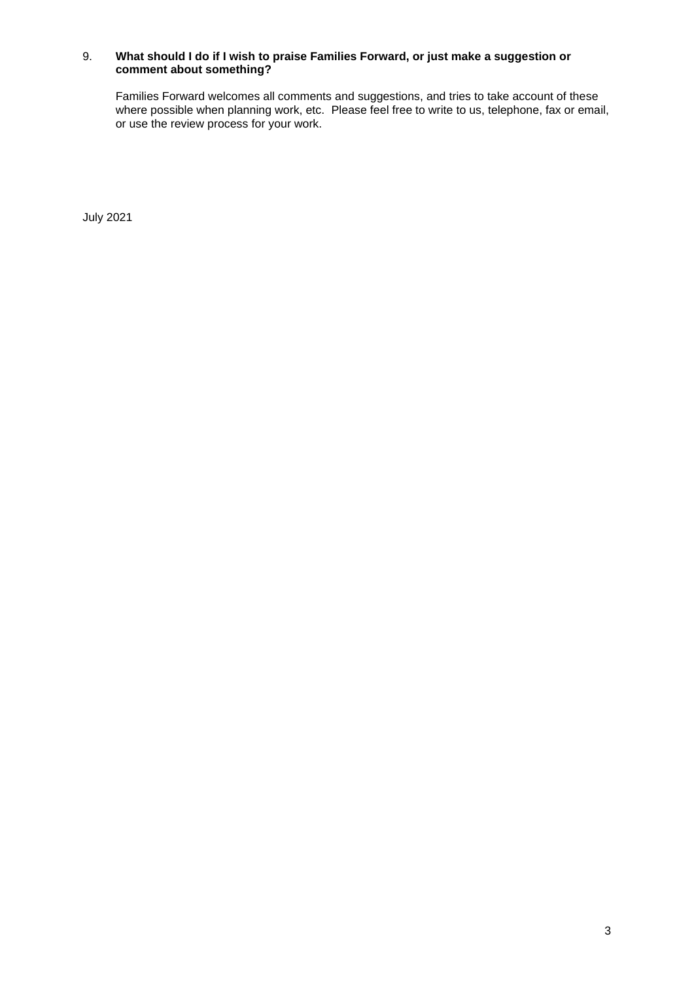## 9. **What should I do if I wish to praise Families Forward, or just make a suggestion or comment about something?**

Families Forward welcomes all comments and suggestions, and tries to take account of these where possible when planning work, etc. Please feel free to write to us, telephone, fax or email, or use the review process for your work.

July 2021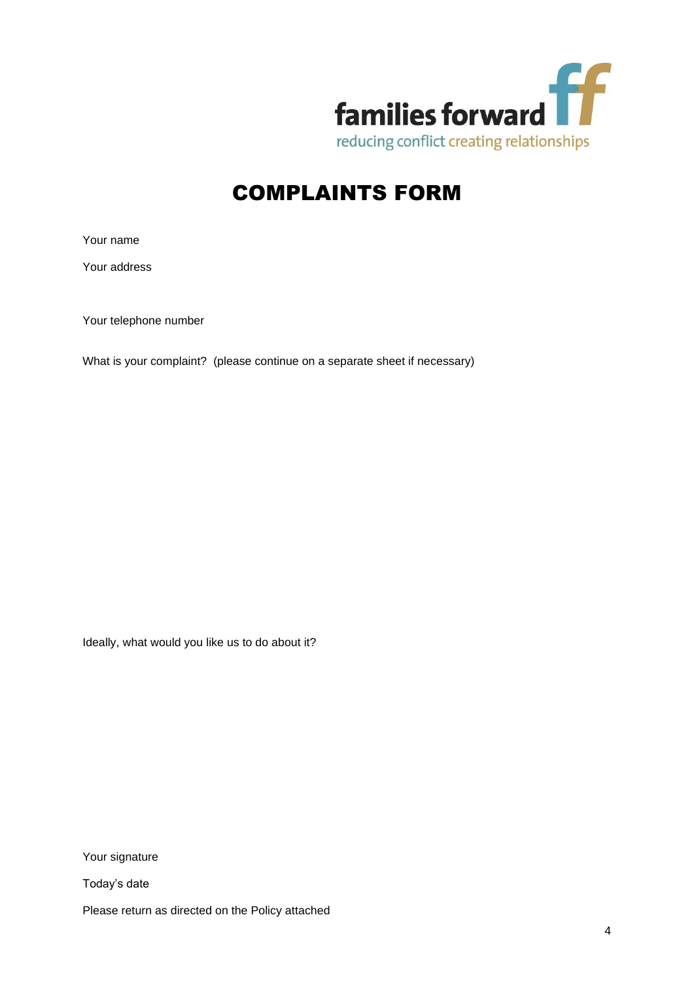

# COMPLAINTS FORM

Your name

Your address

Your telephone number

What is your complaint? (please continue on a separate sheet if necessary)

Ideally, what would you like us to do about it?

Your signature

Today's date

Please return as directed on the Policy attached